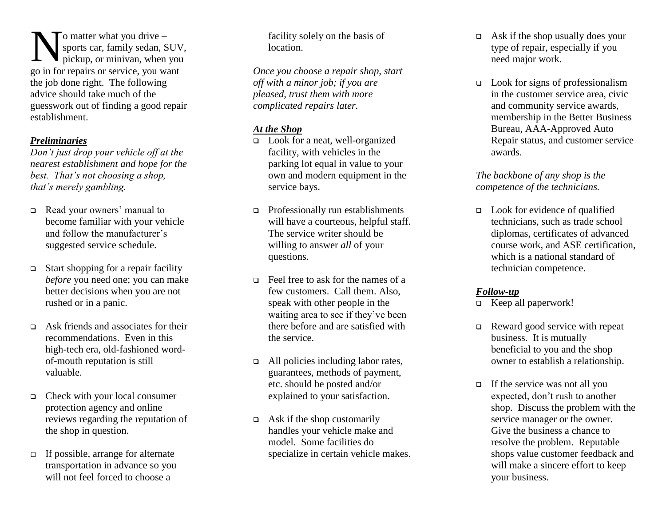$\tau$ o matter what you drive – sports car, family sedan, SUV, pickup, or minivan, when you Superinted Water what you drive -<br>sports car, family sedan, SUV<br>pickup, or minivan, when you<br>go in for repairs or service, you want the job done right. The following advice should take much of the guesswork out of finding a good repair establishment.

#### *Preliminaries*

*Don't just drop your vehicle off at the nearest establishment and hope for the best. That's not choosing a shop, that's merely gambling.*

- Read your owners' manual to become familiar with your vehicle and follow the manufacturer's suggested service schedule.
- $\Box$  Start shopping for a repair facility *before* you need one; you can make better decisions when you are not rushed or in a panic.
- $\Box$  Ask friends and associates for their recommendations. Even in this high-tech era, old-fashioned wordof-mouth reputation is still valuable.
- Check with your local consumer protection agency and online reviews regarding the reputation of the shop in question.
- $\Box$  If possible, arrange for alternate transportation in advance so you will not feel forced to choose a

facility solely on the basis of location.

*Once you choose a repair shop, start off with a minor job; if you are pleased, trust them with more complicated repairs later.*

### *At the Shop*

- **Look** for a neat, well-organized facility, with vehicles in the parking lot equal in value to your own and modern equipment in the service bays.
- □ Professionally run establishments will have a courteous, helpful staff. The service writer should be willing to answer *all* of your questions.
- $\Box$  Feel free to ask for the names of a few customers. Call them. Also, speak with other people in the waiting area to see if they've been there before and are satisfied with the service.
- $\Box$  All policies including labor rates, guarantees, methods of payment, etc. should be posted and/or explained to your satisfaction.
- $\Box$  Ask if the shop customarily handles your vehicle make and model. Some facilities do specialize in certain vehicle makes.
- $\Box$  Ask if the shop usually does your type of repair, especially if you need major work.
- Look for signs of professionalism in the customer service area, civic and community service awards, membership in the Better Business Bureau, AAA-Approved Auto Repair status, and customer service awards.

#### *The backbone of any shop is the competence of the technicians.*

 Look for evidence of qualified technicians, such as trade school diplomas, certificates of advanced course work, and ASE certification, which is a national standard of technician competence.

#### *Follow-up*

- Keep all paperwork!
- Reward good service with repeat business. It is mutually beneficial to you and the shop owner to establish a relationship.
- $\Box$  If the service was not all you expected, don't rush to another shop. Discuss the problem with the service manager or the owner. Give the business a chance to resolve the problem. Reputable shops value customer feedback and will make a sincere effort to keep your business.